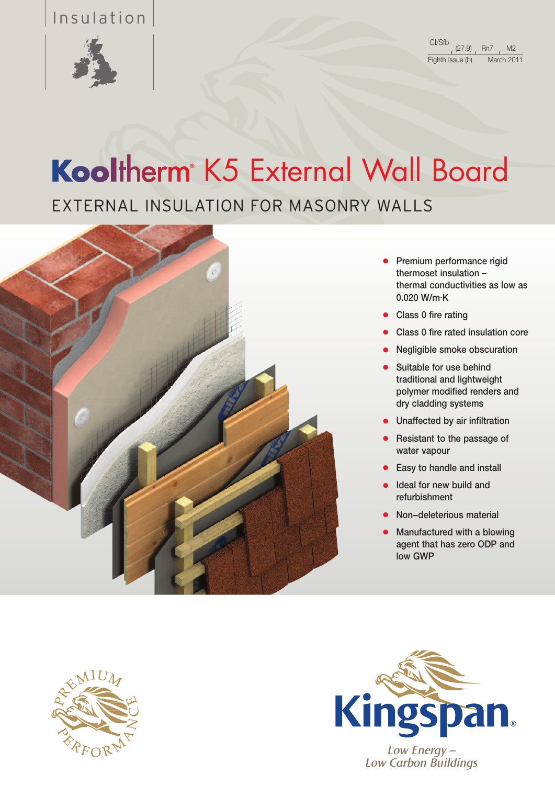## Insulation



# Kooltherm<sup>®</sup> K5 External Wall Board

EXTERNAL INSULATION FOR MASONRY WALLS



- Premium performance rigid thermoset insulation – thermal conductivities as low as 0.020 W/m.K
- Class 0 fire rating
- Class 0 fire rated insulation core
- Negligible smoke obscuration
- Suitable for use behind traditional and lightweight polymer modified renders and dry cladding systems
- Unaffected by air infiltration
- Resistant to the passage of water vapour
- Easy to handle and install
- Ideal for new build and refurbishment
- Non-deleterious material
- Manufactured with a blowing agent that has zero ODP and low GWP





*Low Carbon Buildings*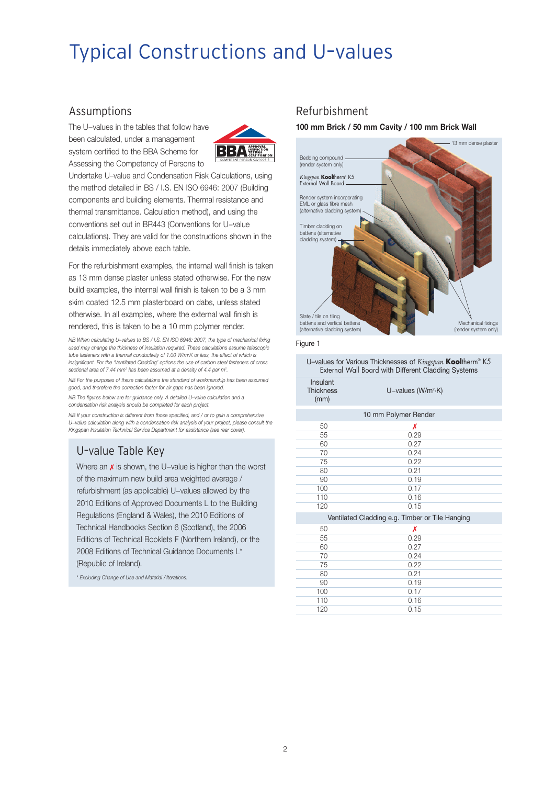## Typical Constructions and U–values

### Assumptions

The U−values in the tables that follow have been calculated, under a management system certified to the BBA Scheme for Assessing the Competency of Persons to



Undertake U–value and Condensation Risk Calculations, using the method detailed in BS / I.S. EN ISO 6946: 2007 (Building components and building elements. Thermal resistance and thermal transmittance. Calculation method), and using the conventions set out in BR443 (Conventions for U−value calculations). They are valid for the constructions shown in the details immediately above each table.

For the refurbishment examples, the internal wall finish is taken as 13 mm dense plaster unless stated otherwise. For the new build examples, the internal wall finish is taken to be a 3 mm skim coated 12.5 mm plasterboard on dabs, unless stated otherwise. In all examples, where the external wall finish is rendered, this is taken to be a 10 mm polymer render.

*NB When calculating U–values to BS / I.S. EN ISO 6946: 2007, the type of mechanical fixing used may change the thickness of insulation required. These calculations assume telescopic tube fasteners with a thermal conductivity of 1.00 W/m. K or less, the effect of which is insignificant. For the 'Ventilated Cladding' options the use of carbon steel fasteners of cross sectional area of 7.44 mm2 has been assumed at a density of 4.4 per m2 .*

*NB For the purposes of these calculations the standard of workmanship has been assumed good, and therefore the correction factor for air gaps has been ignored.*

*NB The figures below are for guidance only. A detailed U–value calculation and a condensation risk analysis should be completed for each project.*

*NB If your construction is different from those specified, and / or to gain a comprehensive U−value calculation along with a condensation risk analysis of your project, please consult the Kingspan Insulation Technical Service Department for assistance (see rear cover).*

## U–value Table Key

Where an x is shown, the U–value is higher than the worst of the maximum new build area weighted average / refurbishment (as applicable) U−values allowed by the 2010 Editions of Approved Documents L to the Building Regulations (England & Wales), the 2010 Editions of Technical Handbooks Section 6 (Scotland), the 2006 Editions of Technical Booklets F (Northern Ireland), or the 2008 Editions of Technical Guidance Documents L\* (Republic of Ireland).

*\* Excluding Change of Use and Material Alterations.*

### Refurbishment

**100 mm Brick / 50 mm Cavity / 100 mm Brick Wall**



Figure 1

U–values for Various Thicknesses of *Kingspan* **Kool**therm® K5 External Wall Board with Different Cladding Systems

| Insulant<br><b>Thickness</b><br>(mm) | U-values (W/m <sup>2</sup> ·K)                  |
|--------------------------------------|-------------------------------------------------|
|                                      | 10 mm Polymer Render                            |
| 50                                   | Х                                               |
| 55                                   | 0.29                                            |
| 60                                   | 0.27                                            |
| 70                                   | 0.24                                            |
| 75                                   | 0.22                                            |
| 80                                   | 0.21                                            |
| 90                                   | 0.19                                            |
| 100                                  | 0.17                                            |
| 110                                  | 0.16                                            |
| 120                                  | 0.15                                            |
|                                      | Ventilated Cladding e.g. Timber or Tile Hanging |
| 50                                   | Х                                               |
| 55                                   | 0.29                                            |
| 60                                   | 0.27                                            |
| 70                                   | 0.24                                            |
| 75                                   | 0.22                                            |
| 80                                   | 0.21                                            |
| 90                                   | 0.19                                            |
| 100                                  | 0.17                                            |
| 110                                  | 0.16                                            |

120 0.15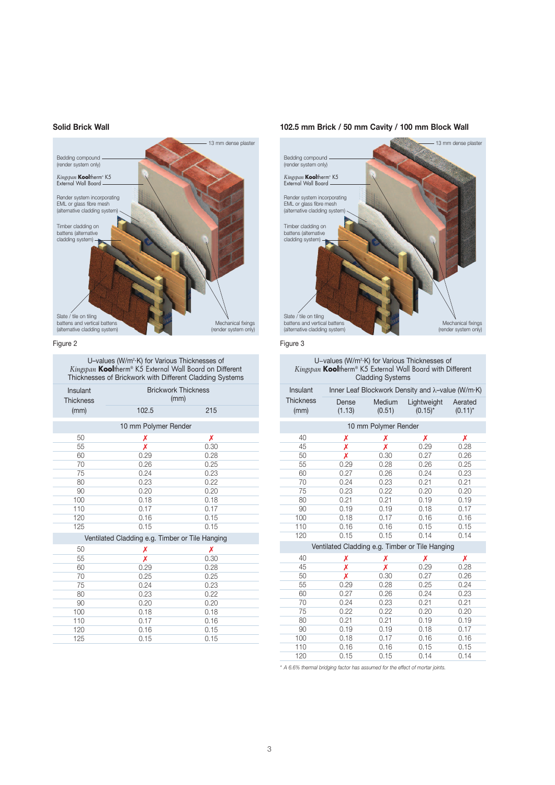#### **Solid Brick Wall**



### Figure 2

U–values (W/m2.K) for Various Thicknesses of *Kingspan* **Kool**therm® K5 External Wall Board on Different Thicknesses of Brickwork with Different Cladding Systems

| Insulant<br><b>Thickness</b>                    | <b>Brickwork Thickness</b><br>(mm) |      |  |  |
|-------------------------------------------------|------------------------------------|------|--|--|
| (mm)                                            | 102.5                              | 215  |  |  |
|                                                 | 10 mm Polymer Render               |      |  |  |
| 50                                              | Х                                  | Х    |  |  |
| 55                                              | Х                                  | 0.30 |  |  |
| 60                                              | 0.29                               | 0.28 |  |  |
| 70                                              | 0.26                               | 0.25 |  |  |
| 75                                              | 0.24                               | 0.23 |  |  |
| 80                                              | 0.23                               | 0.22 |  |  |
| 90                                              | 0.20                               | 0.20 |  |  |
| 100                                             | 0.18                               | 0.18 |  |  |
| 110                                             | 0.17                               | 0.17 |  |  |
| 120                                             | 0.16                               | 0.15 |  |  |
| 125                                             | 0.15                               | 0.15 |  |  |
| Ventilated Cladding e.g. Timber or Tile Hanging |                                    |      |  |  |
| 50                                              | Х                                  | Х    |  |  |
| 55                                              | Х                                  | 0.30 |  |  |
| 60                                              | 0.29                               | 0.28 |  |  |
| 70                                              | 0.25                               | 0.25 |  |  |
| 75                                              | 0.24                               | 0.23 |  |  |
| 80                                              | 0.23                               | 0.22 |  |  |
| 90                                              | 0.20                               | 0.20 |  |  |
| 100                                             | 0.18                               | 0.18 |  |  |
| 110                                             | 0.17                               | 0.16 |  |  |
| 120                                             | 0.16                               | 0.15 |  |  |
| 125                                             | 0.15                               | 0.15 |  |  |
|                                                 |                                    |      |  |  |

### **102.5 mm Brick / 50 mm Cavity / 100 mm Block Wall**



Figure 3

#### U-values (W/m<sup>2</sup>·K) for Various Thicknesses of *Kingspan* **Kool**therm® K5 External Wall Board with Different Cladding Systems

| Insulant                 |                 |                      | Inner Leaf Blockwork Density and $\lambda$ -value (W/m·K) |                       |
|--------------------------|-----------------|----------------------|-----------------------------------------------------------|-----------------------|
| <b>Thickness</b><br>(mm) | Dense<br>(1.13) | Medium<br>(0.51)     | Lightweight<br>$(0.15)^*$                                 | Aerated<br>$(0.11)^*$ |
|                          |                 | 10 mm Polymer Render |                                                           |                       |
| 40                       | X               | Х                    | Х                                                         | Х                     |
| 45                       | X               | Х                    | 0.29                                                      | 0.28                  |
| 50                       | X               | 0.30                 | 0.27                                                      | 0.26                  |
| 55                       | 0.29            | 0.28                 | 0.26                                                      | 0.25                  |
| 60                       | 0.27            | 0.26                 | 0.24                                                      | 0.23                  |
| 70                       | 0.24            | 0.23                 | 0.21                                                      | 0.21                  |
| 75                       | 0.23            | 0.22                 | 0.20                                                      | 0.20                  |
| 80                       | 0.21            | 0.21                 | 0.19                                                      | 0.19                  |
| 90                       | 0.19            | 0.19                 | 0.18                                                      | 0.17                  |
| 100                      | 0.18            | 0.17                 | 0.16                                                      | 0.16                  |
| 110                      | 0.16            | 0.16                 | 0.15                                                      | 0.15                  |
| 120                      | 0.15            | 0.15                 | 0.14                                                      | 0.14                  |
|                          |                 |                      | Ventilated Cladding e.g. Timber or Tile Hanging           |                       |
| 40                       | Х               | Х                    | Х                                                         | Х                     |
| 45                       | Х               | Х                    | 0.29                                                      | 0.28                  |
| 50                       | Х               | 0.30                 | 0.27                                                      | 0.26                  |
| 55                       | 0.29            | 0.28                 | 0.25                                                      | 0.24                  |
| 60                       | 0.27            | 0.26                 | 0.24                                                      | 0.23                  |
| 70                       | 0.24            | 0.23                 | 0.21                                                      | 0.21                  |
| 75                       | 0.22            | 0.22                 | 0.20                                                      | 0.20                  |
| 80                       | 0.21            | 0.21                 | 0.19                                                      | 0.19                  |
| 90                       | 0.19            | 0.19                 | 0.18                                                      | 0.17                  |
| 100                      | 0.18            | 0.17                 | 0.16                                                      | 0.16                  |
| 110                      | 0.16            | 0.16                 | 0.15                                                      | 0.15                  |
| 120                      | 0.15            | 0.15                 | 0.14                                                      | 0.14                  |

*\* A 6.6% thermal bridging factor has assumed for the effect of mortar joints.*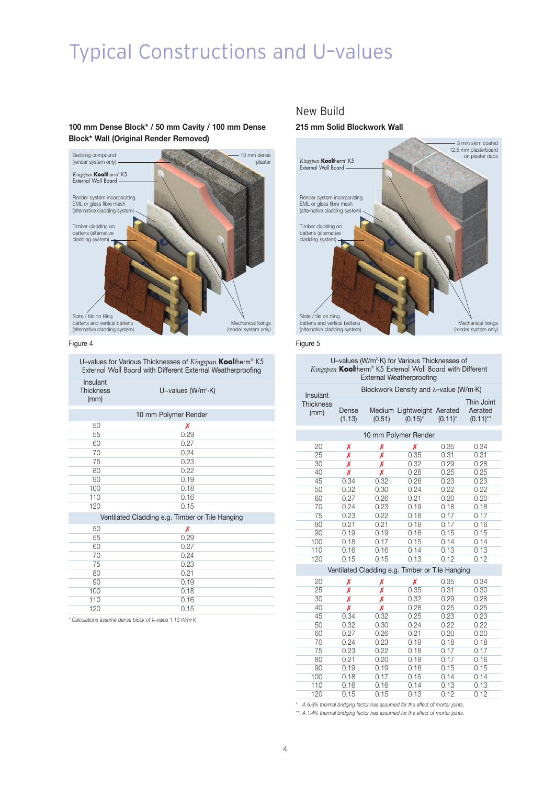## Typical Constructions and U–values

### **100 mm Dense Block\* / 50 mm Cavity / 100 mm Dense Block\* Wall (Original Render Removed)**



Figure 4

U–values for Various Thicknesses of *Kingspan* **Kool**therm® K5 External Wall Board with Different External Weatherproofing

| Insulant<br><b>Thickness</b><br>(mm) | U-values ( $W/m^2$ ·K)                          |
|--------------------------------------|-------------------------------------------------|
|                                      | 10 mm Polymer Render                            |
| 50                                   | Х                                               |
| 55                                   | 0.29                                            |
| 60                                   | 0.27                                            |
| 70                                   | 0.24                                            |
| 75                                   | 0.23                                            |
| 80                                   | 0.22                                            |
| 90                                   | 0.19                                            |
| 100                                  | 0.18                                            |
| 110                                  | 0.16                                            |
| 120                                  | 0.15                                            |
|                                      | Ventilated Cladding e.g. Timber or Tile Hanging |
| 50                                   | Х                                               |
| 55                                   | 0.29                                            |
| 60                                   | 0.27                                            |
| 70                                   | 0.24                                            |
| 75                                   | 0.23                                            |
| 80                                   | 0.21                                            |
| 90                                   | 0.19                                            |
| 100                                  | 0.18                                            |
| 110                                  | 0.16                                            |
| 120                                  | 0.15                                            |

*\* Calculations assume dense block of* λ*–value 1.13 W/m. K*

### New Build

#### **215 mm Solid Blockwork Wall**



Figure 5

#### U-values (W/m<sup>2</sup>·K) for Various Thicknesses of *Kingspan* **Kool**therm® K5 External Wall Board with Different External Weatherproofing

| Insulant                 |                 |        | Blockwork Density and λ-value (W/m·K)           |            |                                      |  |
|--------------------------|-----------------|--------|-------------------------------------------------|------------|--------------------------------------|--|
| <b>Thickness</b><br>(mm) | Dense<br>(1.13) | (0.51) | Medium Lightweight Aerated<br>$(0.15)^*$        | $(0.11)^*$ | Thin Joint<br>Aerated<br>$(0.11)$ ** |  |
|                          |                 |        | 10 mm Polymer Render                            |            |                                      |  |
| 20                       | Х               | Х      | Х                                               | 0.35       | 0.34                                 |  |
| 25                       | X               | X      | 0.35                                            | 0.31       | 0.31                                 |  |
| 30                       | X               | X      | 0.32                                            | 0.29       | 0.28                                 |  |
| 40                       | X               | Х      | 0.28                                            | 0.25       | 0.25                                 |  |
| 45                       | 0.34            | 0.32   | 0.26                                            | 0.23       | 0.23                                 |  |
| 50                       | 0.32            | 0.30   | 0.24                                            | 0.22       | 0.22                                 |  |
| 60                       | 0.27            | 0.26   | 0.21                                            | 0.20       | 0.20                                 |  |
| 70                       | 0.24            | 0.23   | 0.19                                            | 0.18       | 0.18                                 |  |
| 75                       | 0.23            | 0.22   | 0.18                                            | 0.17       | 0.17                                 |  |
| 80                       | 0.21            | 0.21   | 0.18                                            | 0.17       | 0.16                                 |  |
| 90                       | 0.19            | 0.19   | 0.16                                            | 0.15       | 0.15                                 |  |
| 100                      | 0.18            | 0.17   | 0.15                                            | 0.14       | 0.14                                 |  |
| 110                      | 0.16            | 0.16   | 0.14                                            | 0.13       | 0.13                                 |  |
| 120                      | 0.15            | 0.15   | 0.13                                            | 0.12       | 0.12                                 |  |
|                          |                 |        | Ventilated Cladding e.g. Timber or Tile Hanging |            |                                      |  |
| 20                       | Х               | Х      | Х                                               | 0.35       | 0.34                                 |  |
| 25                       | Х               | Х      | 0.35                                            | 0.31       | 0.30                                 |  |
| 30                       | Х               | X      | 0.32                                            | 0.29       | 0.28                                 |  |
| 40                       | X               | X      | 0.28                                            | 0.25       | 0.25                                 |  |
| 45                       | 0.34            | 0.32   | 0.25                                            | 0.23       | 0.23                                 |  |
| 50                       | 0.32            | 0.30   | 0.24                                            | 0.22       | 0.22                                 |  |
| 60                       | 0.27            | 0.26   | 0.21                                            | 0.20       | 0.20                                 |  |
| 70                       | 0.24            | 0.23   | 0.19                                            | 0.18       | 0.18                                 |  |
| 75                       | 0.23            | 0.22   | 0.18                                            | 0.17       | 0.17                                 |  |
| 80                       | 0.21            | 0.20   | 0.18                                            | 0.17       | 0.16                                 |  |
| 90                       | 0.19            | 0.19   | 0.16                                            | 0.15       | 0.15                                 |  |
| 100                      | 0.18            | 0.17   | 0.15                                            | 0.14       | 0.14                                 |  |
| 110                      | 0.16            | 0.16   | 0.14                                            | 0.13       | 0.13                                 |  |
| 120                      | 0.15            | 0.15   | 0.13                                            | 0.12       | 0.12                                 |  |

*\* A 6.6% thermal bridging factor has assumed for the effect of mortar joints.*

*\*\* A 1.4% thermal bridging factor has assumed for the effect of mortar joints.*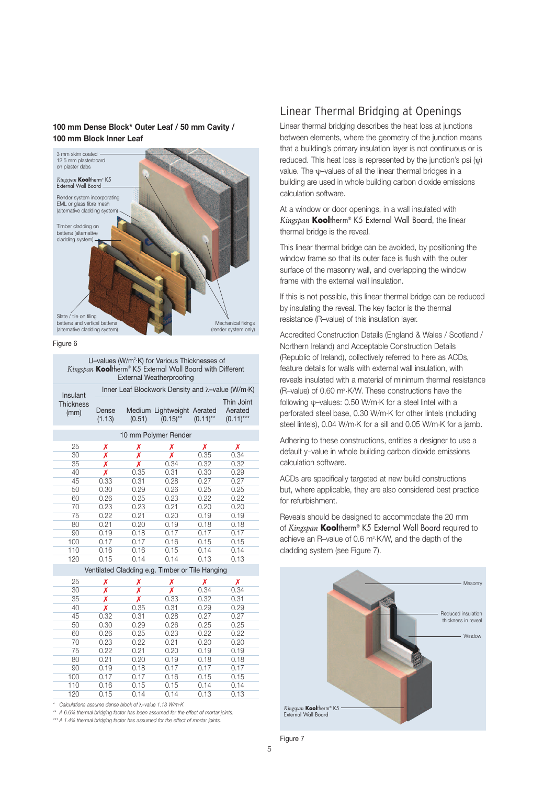### **100 mm Dense Block\* Outer Leaf / 50 mm Cavity / 100 mm Block Inner Leaf**



Figure 6

U-values (W/m<sup>2</sup>·K) for Various Thicknesses of *Kingspan* **Kool**therm® K5 External Wall Board with Different External Weatherproofing

| Insulant                 |                 |        |                                           | Inner Leaf Blockwork Density and $\lambda$ -value (W/m·K) |                                      |      |
|--------------------------|-----------------|--------|-------------------------------------------|-----------------------------------------------------------|--------------------------------------|------|
| <b>Thickness</b><br>(mm) | Dense<br>(1.13) | (0.51) | Medium Lightweight Aerated<br>$(0.15)$ ** | $(0.11)$ **                                               | Thin Joint<br>Aerated<br>$(0.11)***$ |      |
|                          |                 |        |                                           | 10 mm Polymer Render                                      |                                      |      |
|                          | 25              | Х      | Х                                         | Х                                                         | Х                                    | Х    |
|                          | 30              | X      | Х                                         | Х                                                         | 0.35                                 | 0.34 |
|                          | 35              | Х      | Х                                         | 0.34                                                      | 0.32                                 | 0.32 |
|                          | 40              | Х      | 0.35                                      | 0.31                                                      | 0.30                                 | 0.29 |
|                          | 45              | 0.33   | 0.31                                      | 0.28                                                      | 0.27                                 | 0.27 |
|                          | 50              | 0.30   | 0.29                                      | 0.26                                                      | 0.25                                 | 0.25 |
|                          | 60              | 0.26   | 0.25                                      | 0.23                                                      | 0.22                                 | 0.22 |
|                          | 70              | 0.23   | 0.23                                      | 0.21                                                      | 0.20                                 | 0.20 |
|                          | 75              | 0.22   | 0.21                                      | 0.20                                                      | 0.19                                 | 0.19 |
|                          | 80              | 0.21   | 0.20                                      | 0.19                                                      | 0.18                                 | 0.18 |
|                          | 90              | 0.19   | 0.18                                      | 0.17                                                      | 0.17                                 | 0.17 |
|                          | 100             | 0.17   | 0.17                                      | 0.16                                                      | 0.15                                 | 0.15 |
|                          | 110             | 0.16   | 0.16                                      | 0.15                                                      | 0.14                                 | 0.14 |
|                          | 120             | 0.15   | 0.14                                      | 0.14                                                      | 0.13                                 | 0.13 |
|                          |                 |        |                                           |                                                           |                                      |      |

#### Ventilated Cladding e.g. Timber or Tile Hanging

| 25  | Х    | Х    | Х    | Х    | Х    |  |
|-----|------|------|------|------|------|--|
| 30  | Х    | Χ    | Χ    | 0.34 | 0.34 |  |
| 35  | Х    | x    | 0.33 | 0.32 | 0.31 |  |
| 40  | X    | 0.35 | 0.31 | 0.29 | 0.29 |  |
| 45  | 0.32 | 0.31 | 0.28 | 0.27 | 0.27 |  |
| 50  | 0.30 | 0.29 | 0.26 | 0.25 | 0.25 |  |
| 60  | 0.26 | 0.25 | 0.23 | 0.22 | 0.22 |  |
| 70  | 0.23 | 0.22 | 0.21 | 0.20 | 0.20 |  |
| 75  | 0.22 | 0.21 | 0.20 | 0.19 | 0.19 |  |
| 80  | 0.21 | 0.20 | 0.19 | 0.18 | 0.18 |  |
| 90  | 0.19 | 0.18 | 0.17 | 0.17 | 0.17 |  |
| 100 | 0.17 | 0.17 | 0.16 | 0.15 | 0.15 |  |
| 110 | 0.16 | 0.15 | 0.15 | 0.14 | 0.14 |  |
| 120 | 0.15 | 0.14 | 0.14 | 0.13 | 0.13 |  |

*\* Calculations assume dense block of* λ*–value 1.13 W/m. K*

*\*\* A 6.6% thermal bridging factor has been assumed for the effect of mortar joints.*

*\*\*\* A 1.4% thermal bridging factor has assumed for the effect of mortar joints.*

### Linear Thermal Bridging at Openings

Linear thermal bridging describes the heat loss at junctions between elements, where the geometry of the junction means that a building's primary insulation layer is not continuous or is reduced. This heat loss is represented by the junction's psi (ψ) value. The ψ–values of all the linear thermal bridges in a building are used in whole building carbon dioxide emissions calculation software.

At a window or door openings, in a wall insulated with *Kingspan* **Kool**therm® K5 External Wall Board, the linear thermal bridge is the reveal.

This linear thermal bridge can be avoided, by positioning the window frame so that its outer face is flush with the outer surface of the masonry wall, and overlapping the window frame with the external wall insulation.

If this is not possible, this linear thermal bridge can be reduced by insulating the reveal. The key factor is the thermal resistance (R–value) of this insulation layer.

Accredited Construction Details (England & Wales / Scotland / Northern Ireland) and Acceptable Construction Details (Republic of Ireland), collectively referred to here as ACDs, feature details for walls with external wall insulation, with reveals insulated with a material of minimum thermal resistance (R–value) of 0.60 m2.K/W. These constructions have the following ψ–values: 0.50 W/m.K for a steel lintel with a perforated steel base, 0.30 W/m.K for other lintels (including steel lintels), 0.04 W/m.K for a sill and 0.05 W/m.K for a jamb.

Adhering to these constructions, entitles a designer to use a default y–value in whole building carbon dioxide emissions calculation software.

ACDs are specifically targeted at new build constructions but, where applicable, they are also considered best practice for refurbishment.

Reveals should be designed to accommodate the 20 mm of *Kingspan* **Kool**therm® K5 External Wall Board required to achieve an R–value of 0.6 m2.K/W, and the depth of the cladding system (see Figure 7).



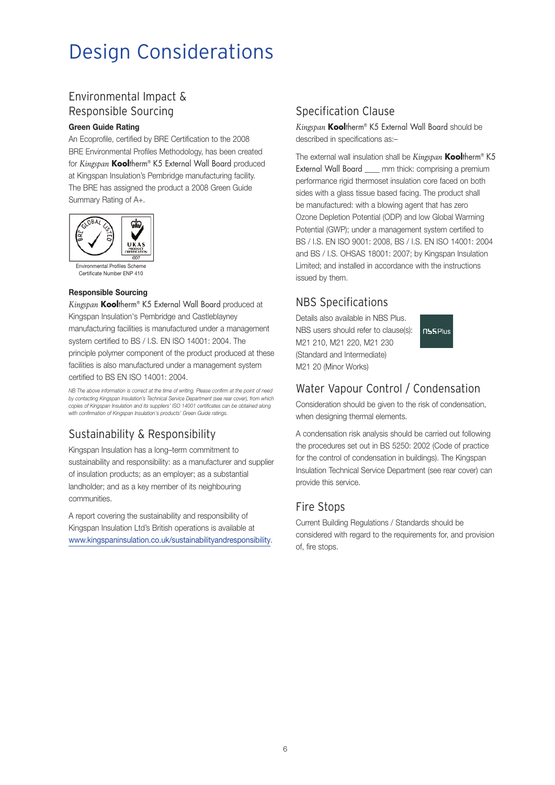## Design Considerations

## Environmental Impact & Responsible Sourcing

### **Green Guide Rating**

An Ecoprofile, certified by BRE Certification to the 2008 BRE Environmental Profiles Methodology, has been created for *Kingspan* **Kool**therm® K5 External Wall Board produced at Kingspan Insulation's Pembridge manufacturing facility. The BRE has assigned the product a 2008 Green Guide Summary Rating of A+.



Certificate Number ENP 410

### **Responsible Sourcing**

*Kingspan* **Kool**therm® K5 External Wall Board produced at Kingspan Insulation's Pembridge and Castleblayney manufacturing facilities is manufactured under a management system certified to BS / I.S. EN ISO 14001: 2004. The principle polymer component of the product produced at these facilities is also manufactured under a management system certified to BS EN ISO 14001: 2004.

*NB The above information is correct at the time of writing. Please confirm at the point of need by contacting Kingspan Insulation's Technical Service Department (see rear cover), from which copies of Kingspan Insulation and its suppliers' ISO 14001 certificates can be obtained along with confirmation of Kingspan Insulation's products' Green Guide ratings.*

## Sustainability & Responsibility

Kingspan Insulation has a long–term commitment to sustainability and responsibility: as a manufacturer and supplier of insulation products; as an employer; as a substantial landholder; and as a key member of its neighbouring communities.

A report covering the sustainability and responsibility of Kingspan Insulation Ltd's British operations is available at www.kingspaninsulation.co.uk/sustainabilityandresponsibility.

## Specification Clause

*Kingspan* **Kool**therm® K5 External Wall Board should be described in specifications as:–

The external wall insulation shall be *Kingspan* **Kool**therm® K5 External Wall Board \_\_\_\_ mm thick: comprising a premium performance rigid thermoset insulation core faced on both sides with a glass tissue based facing. The product shall be manufactured: with a blowing agent that has zero Ozone Depletion Potential (ODP) and low Global Warming Potential (GWP); under a management system certified to BS / I.S. EN ISO 9001: 2008, BS / I.S. EN ISO 14001: 2004 and BS / I.S. OHSAS 18001: 2007; by Kingspan Insulation Limited; and installed in accordance with the instructions issued by them.

## NBS Specifications

Details also available in NBS Plus. NBS users should refer to clause(s): M21 210, M21 220, M21 230 (Standard and Intermediate) M21 20 (Minor Works)



## Water Vapour Control / Condensation

Consideration should be given to the risk of condensation, when designing thermal elements.

A condensation risk analysis should be carried out following the procedures set out in BS 5250: 2002 (Code of practice for the control of condensation in buildings). The Kingspan Insulation Technical Service Department (see rear cover) can provide this service.

## Fire Stops

Current Building Regulations / Standards should be considered with regard to the requirements for, and provision of, fire stops.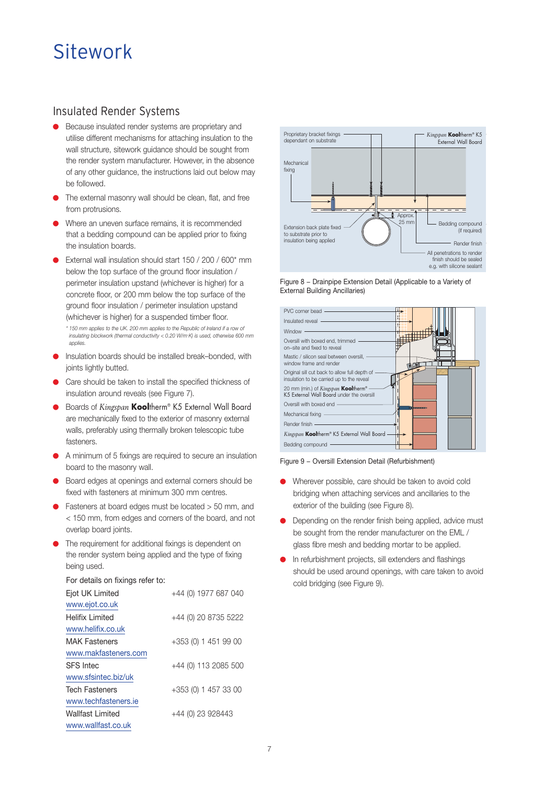## Sitework

### Insulated Render Systems

- Because insulated render systems are proprietary and utilise different mechanisms for attaching insulation to the wall structure, sitework guidance should be sought from the render system manufacturer. However, in the absence of any other guidance, the instructions laid out below may be followed.
- The external masonry wall should be clean, flat, and free from protrusions.
- Where an uneven surface remains, it is recommended that a bedding compound can be applied prior to fixing the insulation boards.
- External wall insulation should start  $150 / 200 / 600*$  mm below the top surface of the ground floor insulation / perimeter insulation upstand (whichever is higher) for a concrete floor, or 200 mm below the top surface of the ground floor insulation / perimeter insulation upstand (whichever is higher) for a suspended timber floor. *\* 150 mm applies to the UK. 200 mm applies to the Republic of Ireland if a row of insulating blockwork (thermal conductivity < 0.20 W/m. K) is used, otherwise 600 mm applies.*
- Insulation boards should be installed break–bonded, with joints lightly butted.
- Care should be taken to install the specified thickness of insulation around reveals (see Figure 7).
- Boards of *Kingspan* Kooltherm® K5 External Wall Board are mechanically fixed to the exterior of masonry external walls, preferably using thermally broken telescopic tube fasteners.
- A minimum of 5 fixings are required to secure an insulation board to the masonry wall.
- Board edges at openings and external corners should be fixed with fasteners at minimum 300 mm centres.
- Fasteners at board edges must be located > 50 mm, and < 150 mm, from edges and corners of the board, and not overlap board joints.
- The requirement for additional fixings is dependent on the render system being applied and the type of fixing being used.

#### For details on fixings refer to:

| Ejot UK Limited       | +44 (0) 1977 687 040 |
|-----------------------|----------------------|
| www.ejot.co.uk        |                      |
| Helifix I imited      | +44 (0) 20 8735 5222 |
| www.helifix.co.uk     |                      |
| <b>MAK Fasteners</b>  | +353 (0) 1 451 99 00 |
| www.makfasteners.com  |                      |
| <b>SFS</b> Intec      | +44 (0) 113 2085 500 |
| www.sfsintec.biz/uk   |                      |
| <b>Tech Fasteners</b> | +353 (0) 1 457 33 00 |
| www.techfasteners.ie  |                      |
| Wallfast Limited      | +44 (0) 23 928443    |
| www.wallfast.co.uk    |                      |



Figure 8 − Drainpipe Extension Detail (Applicable to a Variety of External Building Ancillaries)



Figure 9 − Oversill Extension Detail (Refurbishment)

- Wherever possible, care should be taken to avoid cold bridging when attaching services and ancillaries to the exterior of the building (see Figure 8).
- Depending on the render finish being applied, advice must be sought from the render manufacturer on the EML / glass fibre mesh and bedding mortar to be applied.
- In refurbishment projects, sill extenders and flashings should be used around openings, with care taken to avoid cold bridging (see Figure 9).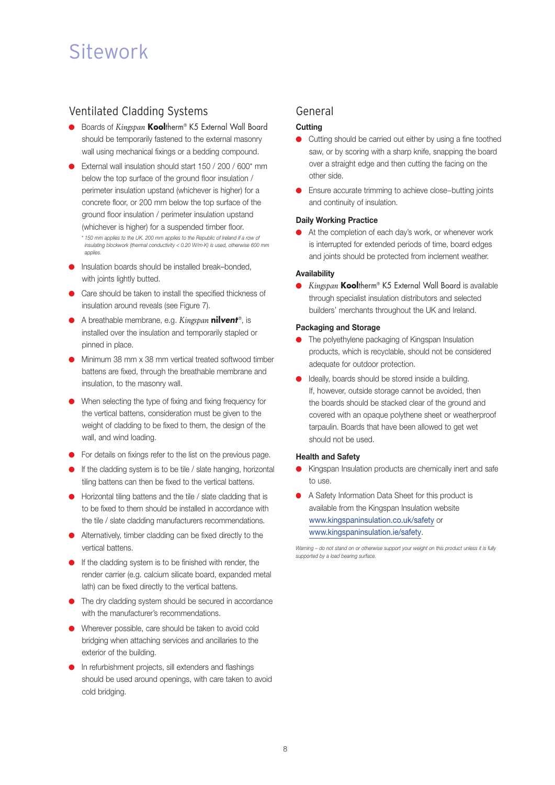## Sitework

### Ventilated Cladding Systems

- Boards of *Kingspan* **Kool**therm® K5 External Wall Board should be temporarily fastened to the external masonry wall using mechanical fixings or a bedding compound.
- External wall insulation should start 150 / 200 / 600\* mm below the top surface of the ground floor insulation / perimeter insulation upstand (whichever is higher) for a concrete floor, or 200 mm below the top surface of the ground floor insulation / perimeter insulation upstand (whichever is higher) for a suspended timber floor. *\* 150 mm applies to the UK. 200 mm applies to the Republic of Ireland if a row of insulating blockwork (thermal conductivity < 0.20 W/m. K) is used, otherwise 600 mm applies.*
- Insulation boards should be installed break–bonded, with joints lightly butted.
- Care should be taken to install the specified thickness of insulation around reveals (see Figure 7).
- A breathable membrane, e.g. *Kingspan* **nil***vent* ®, is installed over the insulation and temporarily stapled or pinned in place.
- Minimum 38 mm x 38 mm vertical treated softwood timber battens are fixed, through the breathable membrane and insulation, to the masonry wall.
- When selecting the type of fixing and fixing frequency for the vertical battens, consideration must be given to the weight of cladding to be fixed to them, the design of the wall, and wind loading.
- For details on fixings refer to the list on the previous page.
- If the cladding system is to be tile / slate hanging, horizontal tiling battens can then be fixed to the vertical battens.
- Horizontal tiling battens and the tile / slate cladding that is to be fixed to them should be installed in accordance with the tile / slate cladding manufacturers recommendations.
- Alternatively, timber cladding can be fixed directly to the vertical battens.
- If the cladding system is to be finished with render, the render carrier (e.g. calcium silicate board, expanded metal lath) can be fixed directly to the vertical battens.
- The dry cladding system should be secured in accordance with the manufacturer's recommendations.
- Wherever possible, care should be taken to avoid cold bridging when attaching services and ancillaries to the exterior of the building.
- In refurbishment projects, sill extenders and flashings should be used around openings, with care taken to avoid cold bridging.

### General

### **Cutting**

- Cutting should be carried out either by using a fine toothed saw, or by scoring with a sharp knife, snapping the board over a straight edge and then cutting the facing on the other side.
- Ensure accurate trimming to achieve close–butting joints and continuity of insulation.

### **Daily Working Practice**

● At the completion of each day's work, or whenever work is interrupted for extended periods of time, board edges and joints should be protected from inclement weather.

### **Availability**

Kingspan **Kool**therm® K5 External Wall Board is available through specialist insulation distributors and selected builders' merchants throughout the UK and Ireland.

### **Packaging and Storage**

- The polyethylene packaging of Kingspan Insulation products, which is recyclable, should not be considered adequate for outdoor protection.
- Ideally, boards should be stored inside a building. If, however, outside storage cannot be avoided, then the boards should be stacked clear of the ground and covered with an opaque polythene sheet or weatherproof tarpaulin. Boards that have been allowed to get wet should not be used.

#### **Health and Safety**

- Kingspan Insulation products are chemically inert and safe to use.
- A Safety Information Data Sheet for this product is available from the Kingspan Insulation website www.kingspaninsulation.co.uk/safety or www.kingspaninsulation.ie/safety.

*Warning – do not stand on or otherwise support your weight on this product unless it is fully supported by a load bearing surface.*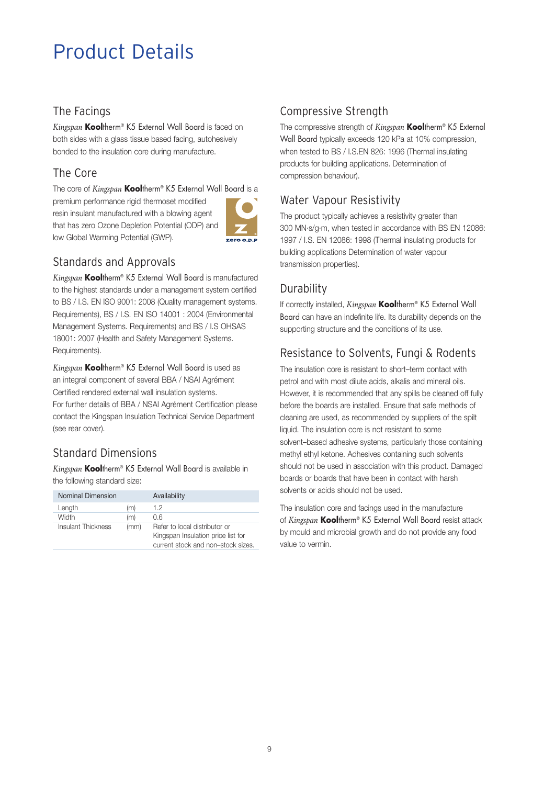## Product Details

## The Facings

*Kingspan* **Kool**therm® K5 External Wall Board is faced on both sides with a glass tissue based facing, autohesively bonded to the insulation core during manufacture.

## The Core

The core of *Kingspan* **Kool**therm® K5 External Wall Board is a premium performance rigid thermoset modified resin insulant manufactured with a blowing agent that has zero Ozone Depletion Potential (ODP) and low Global Warming Potential (GWP).



## Standards and Approvals

*Kingspan* **Kool**therm® K5 External Wall Board is manufactured to the highest standards under a management system certified to BS / I.S. EN ISO 9001: 2008 (Quality management systems. Requirements), BS / I.S. EN ISO 14001 : 2004 (Environmental Management Systems. Requirements) and BS / I.S OHSAS 18001: 2007 (Health and Safety Management Systems. Requirements).

*Kingspan* **Kool**therm® K5 External Wall Board is used as an integral component of several BBA / NSAI Agrément Certified rendered external wall insulation systems. For further details of BBA / NSAI Agrément Certification please contact the Kingspan Insulation Technical Service Department (see rear cover).

## Standard Dimensions

*Kingspan* **Kool**therm® K5 External Wall Board is available in the following standard size:

| Nominal Dimension  |      | Availability                       |
|--------------------|------|------------------------------------|
| Length             | (m)  | 1.2                                |
| Width              | (m)  | 0.6                                |
| Insulant Thickness | (mm) | Refer to local distributor or      |
|                    |      | Kingspan Insulation price list for |
|                    |      | current stock and non-stock sizes. |

## Compressive Strength

The compressive strength of *Kingspan* **Kool**therm® K5 External Wall Board typically exceeds 120 kPa at 10% compression, when tested to BS / I.S.EN 826: 1996 (Thermal insulating products for building applications. Determination of compression behaviour).

## Water Vapour Resistivity

The product typically achieves a resistivity greater than 300 MN.s/g.m, when tested in accordance with BS EN 12086: 1997 / I.S. EN 12086: 1998 (Thermal insulating products for building applications Determination of water vapour transmission properties).

## **Durability**

If correctly installed, *Kingspan* **Kool**therm® K5 External Wall Board can have an indefinite life. Its durability depends on the supporting structure and the conditions of its use.

## Resistance to Solvents, Fungi & Rodents

The insulation core is resistant to short–term contact with petrol and with most dilute acids, alkalis and mineral oils. However, it is recommended that any spills be cleaned off fully before the boards are installed. Ensure that safe methods of cleaning are used, as recommended by suppliers of the spilt liquid. The insulation core is not resistant to some solvent–based adhesive systems, particularly those containing methyl ethyl ketone. Adhesives containing such solvents should not be used in association with this product. Damaged boards or boards that have been in contact with harsh solvents or acids should not be used.

The insulation core and facings used in the manufacture of *Kingspan* **Kool**therm® K5 External Wall Board resist attack by mould and microbial growth and do not provide any food value to vermin.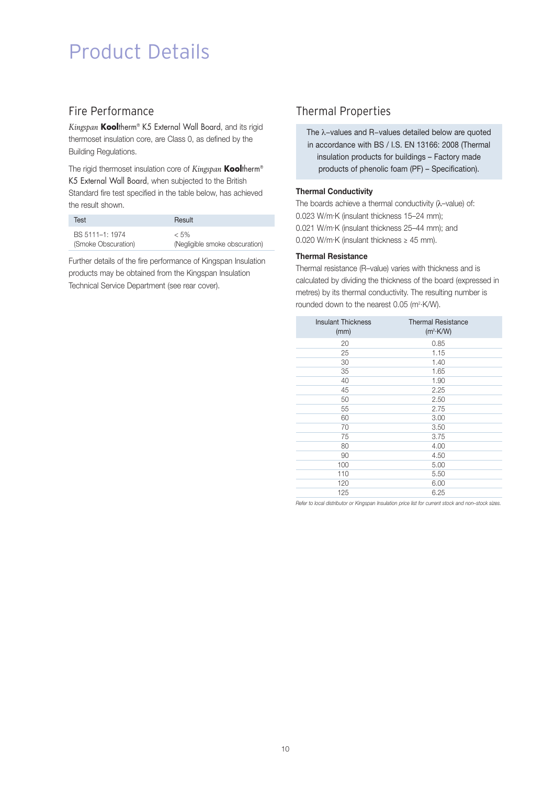## Product Details

### Fire Performance

*Kingspan* **Kool**therm® K5 External Wall Board, and its rigid thermoset insulation core, are Class 0, as defined by the Building Regulations.

The rigid thermoset insulation core of *Kingspan* **Kool**therm® K5 External Wall Board, when subjected to the British Standard fire test specified in the table below, has achieved the result shown.

| Test                | Result                         |
|---------------------|--------------------------------|
| BS 5111-1: 1974     | $< 5\%$                        |
| (Smoke Obscuration) | (Negligible smoke obscuration) |

Further details of the fire performance of Kingspan Insulation products may be obtained from the Kingspan Insulation Technical Service Department (see rear cover).

## Thermal Properties

The λ−values and R−values detailed below are quoted in accordance with BS / I.S. EN 13166: 2008 (Thermal insulation products for buildings – Factory made products of phenolic foam (PF) – Specification).

### **Thermal Conductivity**

The boards achieve a thermal conductivity (λ–value) of: 0.023 W/m.K (insulant thickness 15–24 mm); 0.021 W/m.K (insulant thickness 25–44 mm); and 0.020 W/m $\cdot$ K (insulant thickness  $\geq$  45 mm).

### **Thermal Resistance**

Thermal resistance (R–value) varies with thickness and is calculated by dividing the thickness of the board (expressed in metres) by its thermal conductivity. The resulting number is rounded down to the nearest 0.05 (m<sup>2</sup>·K/W).

| <b>Insulant Thickness</b><br>(mm) | <b>Thermal Resistance</b><br>$(m^2 \cdot K/W)$ |
|-----------------------------------|------------------------------------------------|
| 20                                | 0.85                                           |
| 25                                | 1.15                                           |
| 30                                | 1.40                                           |
| 35                                | 1.65                                           |
| 40                                | 1.90                                           |
| 45                                | 2.25                                           |
| 50                                | 2.50                                           |
| 55                                | 2.75                                           |
| 60                                | 3.00                                           |
| 70                                | 3.50                                           |
| 75                                | 3.75                                           |
| 80                                | 4.00                                           |
| 90                                | 4.50                                           |
| 100                               | 5.00                                           |
| 110                               | 5.50                                           |
| 120                               | 6.00                                           |
| 125                               | 6.25                                           |

*Refer to local distributor or Kingspan Insulation price list for current stock and non–stock sizes.*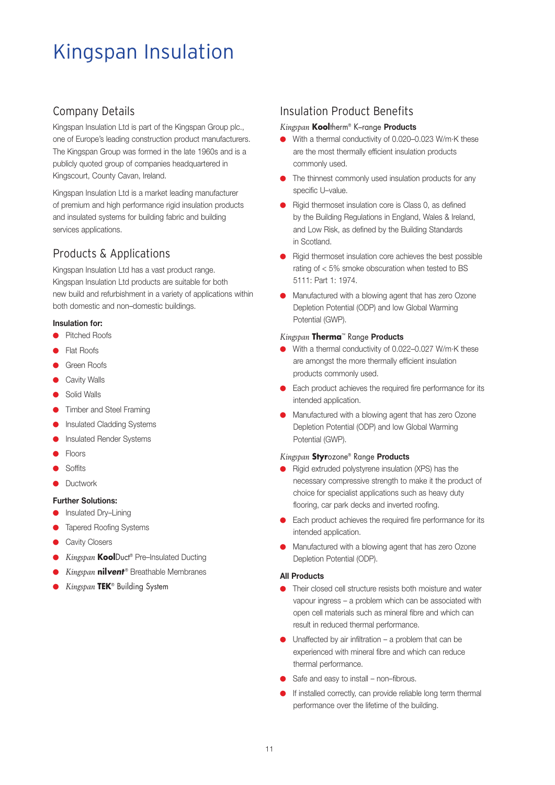## Kingspan Insulation

## Company Details

Kingspan Insulation Ltd is part of the Kingspan Group plc., one of Europe's leading construction product manufacturers. The Kingspan Group was formed in the late 1960s and is a publicly quoted group of companies headquartered in Kingscourt, County Cavan, Ireland.

Kingspan Insulation Ltd is a market leading manufacturer of premium and high performance rigid insulation products and insulated systems for building fabric and building services applications.

## Products & Applications

Kingspan Insulation Ltd has a vast product range. Kingspan Insulation Ltd products are suitable for both new build and refurbishment in a variety of applications within both domestic and non–domestic buildings.

### **Insulation for:**

- Pitched Roofs
- Flat Roofs
- Green Roofs
- Cavity Walls
- Solid Walls
- Timber and Steel Framing
- **•** Insulated Cladding Systems
- **Insulated Render Systems**
- **Floors**
- Soffits
- Ductwork

### **Further Solutions:**

- Insulated Dry–Lining
- **Tapered Roofing Systems**
- **Cavity Closers**
- Kingspan KoolDuct® Pre–Insulated Ducting
- *Kingspan* **nil***vent* ® Breathable Membranes
- *Kingspan* **TEK**® Building System

## Insulation Product Benefits

### *Kingspan* **Kool**therm® K–range **Products**

- With a thermal conductivity of 0.020–0.023 W/m.K these are the most thermally efficient insulation products commonly used.
- The thinnest commonly used insulation products for any specific U–value.
- Rigid thermoset insulation core is Class 0, as defined by the Building Regulations in England, Wales & Ireland, and Low Risk, as defined by the Building Standards in Scotland.
- Rigid thermoset insulation core achieves the best possible rating of < 5% smoke obscuration when tested to BS 5111: Part 1: 1974.
- Manufactured with a blowing agent that has zero Ozone Depletion Potential (ODP) and low Global Warming Potential (GWP).

### *Kingspan* **Therma**™ Range **Products**

- With a thermal conductivity of 0.022–0.027 W/m.K these are amongst the more thermally efficient insulation products commonly used.
- Each product achieves the required fire performance for its intended application.
- Manufactured with a blowing agent that has zero Ozone Depletion Potential (ODP) and low Global Warming Potential (GWP).

### *Kingspan* **Styr**ozone® Range **Products**

- Rigid extruded polystyrene insulation (XPS) has the necessary compressive strength to make it the product of choice for specialist applications such as heavy duty flooring, car park decks and inverted roofing.
- Each product achieves the required fire performance for its intended application.
- Manufactured with a blowing agent that has zero Ozone Depletion Potential (ODP).

### **All Products**

- Their closed cell structure resists both moisture and water vapour ingress – a problem which can be associated with open cell materials such as mineral fibre and which can result in reduced thermal performance.
- $\bullet$  Unaffected by air infiltration a problem that can be experienced with mineral fibre and which can reduce thermal performance.
- Safe and easy to install non–fibrous.
- If installed correctly, can provide reliable long term thermal performance over the lifetime of the building.